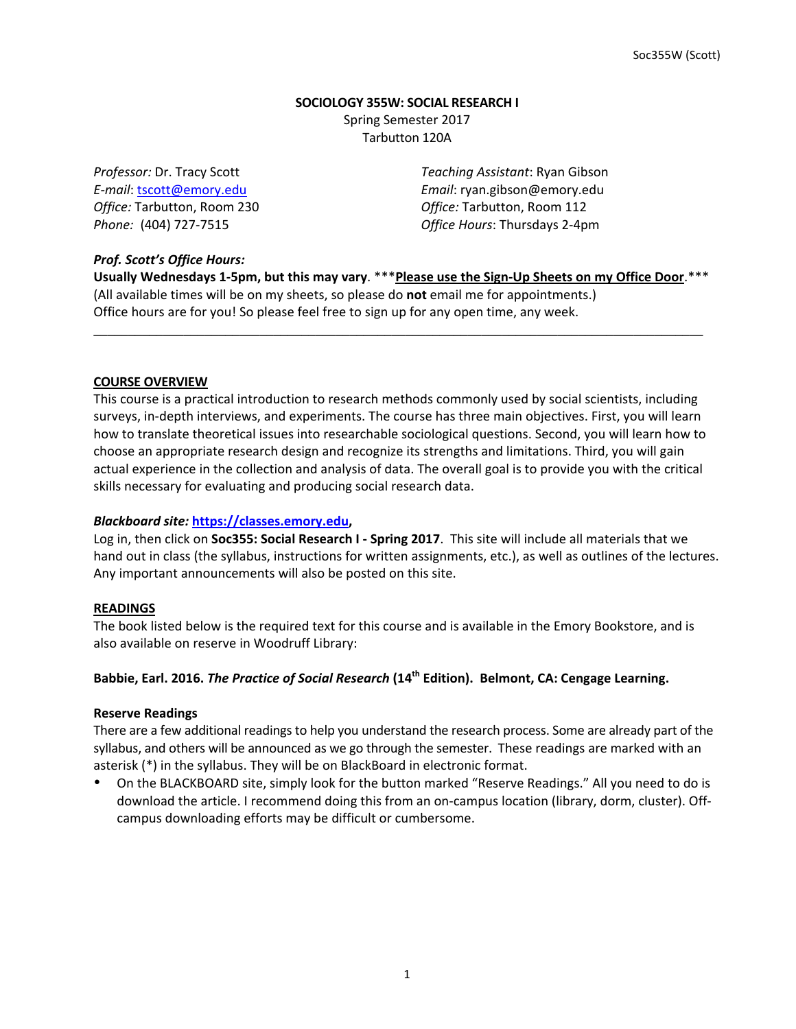# **SOCIOLOGY 355W: SOCIAL RESEARCH I** Spring Semester 2017 Tarbutton 120A

*Professor:* Dr. Tracy Scott *Teaching Assistant*: Ryan Gibson *E-mail*: tscott@emory.edu *Email*: ryan.gibson@emory.edu *Office:* Tarbutton, Room 230 *Office:* Tarbutton, Room 112 **Phone:** (404) 727-7515 *Office Hours***:** Thursdays 2-4pm

# *Prof. Scott's Office Hours:*

Usually Wednesdays 1-5pm, but this may vary. \*\*\* Please use the Sign-Up Sheets on my Office Door.\*\*\* (All available times will be on my sheets, so please do **not** email me for appointments.) Office hours are for you! So please feel free to sign up for any open time, any week.

\_\_\_\_\_\_\_\_\_\_\_\_\_\_\_\_\_\_\_\_\_\_\_\_\_\_\_\_\_\_\_\_\_\_\_\_\_\_\_\_\_\_\_\_\_\_\_\_\_\_\_\_\_\_\_\_\_\_\_\_\_\_\_\_\_\_\_\_\_\_\_\_\_\_\_\_\_\_\_\_\_\_\_\_\_\_\_\_

## **COURSE OVERVIEW**

This course is a practical introduction to research methods commonly used by social scientists, including surveys, in-depth interviews, and experiments. The course has three main objectives. First, you will learn how to translate theoretical issues into researchable sociological questions. Second, you will learn how to choose an appropriate research design and recognize its strengths and limitations. Third, you will gain actual experience in the collection and analysis of data. The overall goal is to provide you with the critical skills necessary for evaluating and producing social research data.

## *Blackboard site:* **https://classes.emory.edu,**

Log in, then click on **Soc355: Social Research I - Spring 2017**. This site will include all materials that we hand out in class (the syllabus, instructions for written assignments, etc.), as well as outlines of the lectures. Any important announcements will also be posted on this site.

#### **READINGS**

The book listed below is the required text for this course and is available in the Emory Bookstore, and is also available on reserve in Woodruff Library:

# Babbie, Earl. 2016. *The Practice of Social Research* (14<sup>th</sup> Edition). Belmont, CA: Cengage Learning.

#### **Reserve Readings**

There are a few additional readings to help you understand the research process. Some are already part of the syllabus, and others will be announced as we go through the semester. These readings are marked with an asterisk  $(*)$  in the syllabus. They will be on BlackBoard in electronic format.

On the BLACKBOARD site, simply look for the button marked "Reserve Readings." All you need to do is download the article. I recommend doing this from an on-campus location (library, dorm, cluster). Offcampus downloading efforts may be difficult or cumbersome.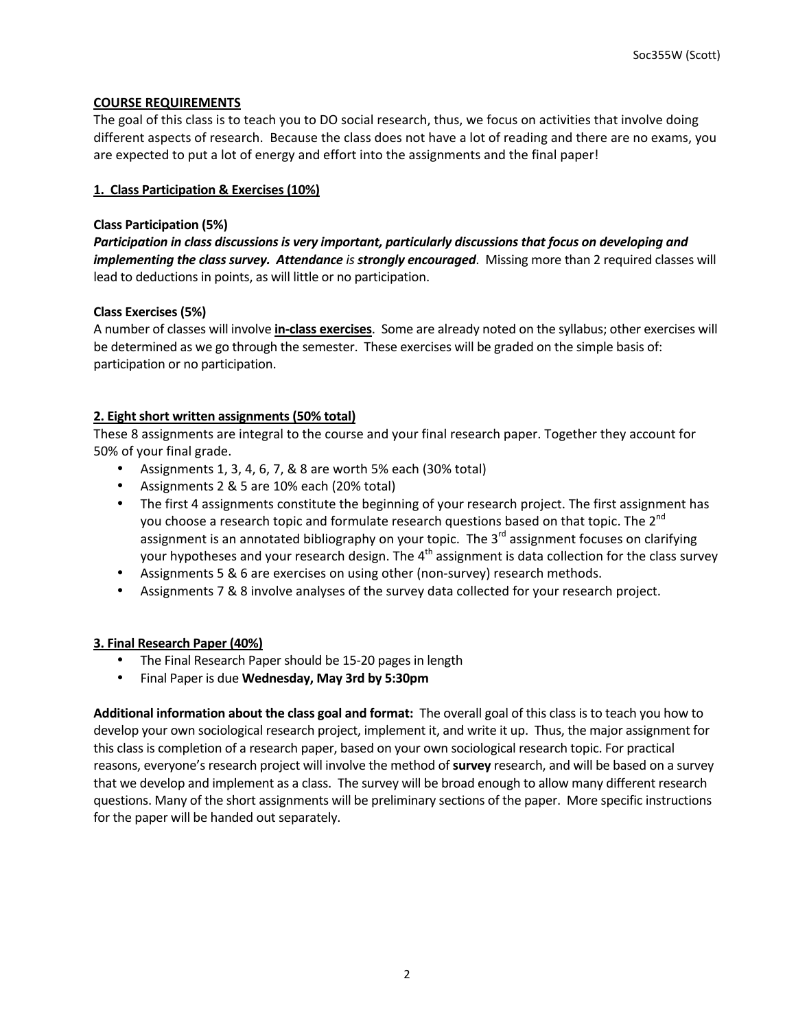# **COURSE REQUIREMENTS**

The goal of this class is to teach you to DO social research, thus, we focus on activities that involve doing different aspects of research. Because the class does not have a lot of reading and there are no exams, you are expected to put a lot of energy and effort into the assignments and the final paper!

# **1. Class Participation & Exercises (10%)**

# **Class Participation (5%)**

Participation in class discussions is very important, particularly discussions that focus on developing and *implementing the class survey.* Attendance is strongly encouraged. Missing more than 2 required classes will lead to deductions in points, as will little or no participation.

# **Class Exercises (5%)**

A number of classes will involve *in-class exercises*. Some are already noted on the syllabus; other exercises will be determined as we go through the semester. These exercises will be graded on the simple basis of: participation or no participation.

# **2.** Eight short written assignments (50% total)

These 8 assignments are integral to the course and your final research paper. Together they account for 50% of your final grade.

- Assignments 1, 3, 4, 6, 7, & 8 are worth  $5%$  each (30% total)
- Assignments 2 & 5 are 10% each (20% total)
- The first 4 assignments constitute the beginning of your research project. The first assignment has you choose a research topic and formulate research questions based on that topic. The 2<sup>nd</sup> assignment is an annotated bibliography on your topic. The  $3^{rd}$  assignment focuses on clarifying your hypotheses and your research design. The  $4<sup>th</sup>$  assignment is data collection for the class survey
- Assignments 5 & 6 are exercises on using other (non-survey) research methods.
- Assignments 7 & 8 involve analyses of the survey data collected for your research project.

# **3. Final Research Paper (40%)**

- The Final Research Paper should be 15-20 pages in length
- Final Paper is due Wednesday, May 3rd by 5:30pm

Additional information about the class goal and format: The overall goal of this class is to teach you how to develop your own sociological research project, implement it, and write it up. Thus, the major assignment for this class is completion of a research paper, based on your own sociological research topic. For practical reasons, everyone's research project will involve the method of **survey** research, and will be based on a survey that we develop and implement as a class. The survey will be broad enough to allow many different research questions. Many of the short assignments will be preliminary sections of the paper. More specific instructions for the paper will be handed out separately.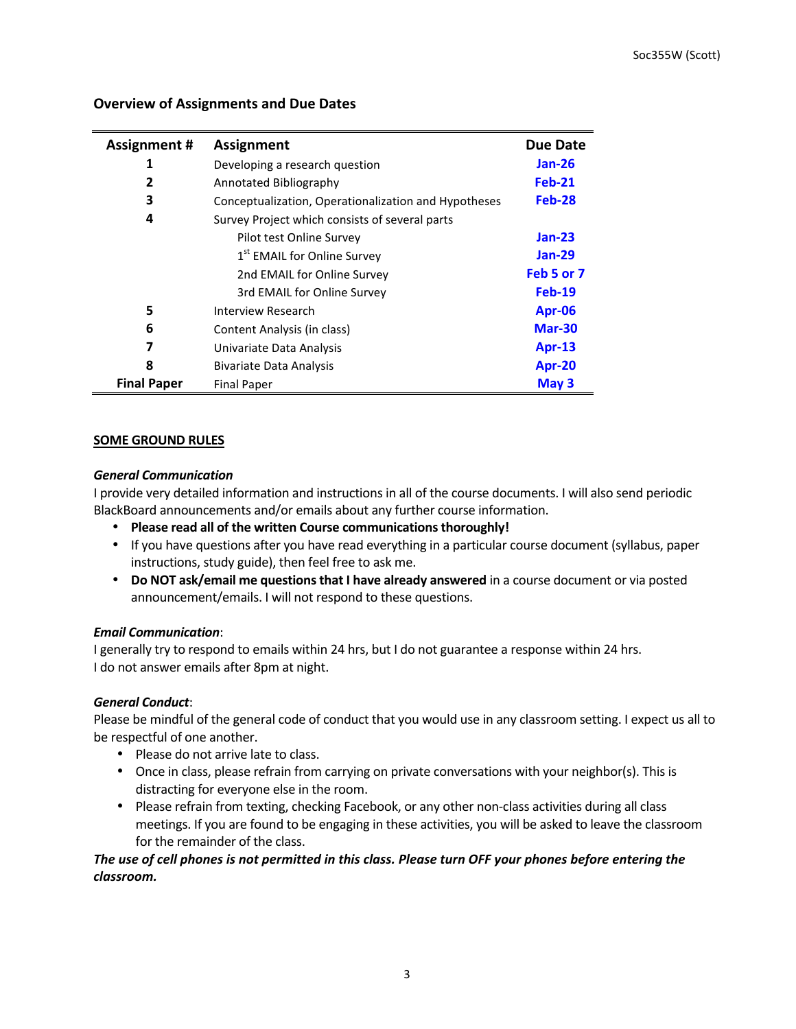| <b>Assignment #</b> | <b>Assignment</b>                                    | Due Date      |
|---------------------|------------------------------------------------------|---------------|
| 1                   | Developing a research question                       | Jan-26        |
| 2                   | Annotated Bibliography                               | <b>Feb-21</b> |
| 3                   | Conceptualization, Operationalization and Hypotheses | Feb-28        |
| 4                   | Survey Project which consists of several parts       |               |
|                     | Pilot test Online Survey                             | $Jan-23$      |
|                     | 1 <sup>st</sup> EMAIL for Online Survey              | <b>Jan-29</b> |
|                     | 2nd EMAIL for Online Survey                          | Feb 5 or 7    |
|                     | 3rd EMAIL for Online Survey                          | $Feb-19$      |
| 5                   | Interview Research                                   | Apr-06        |
| 6                   | Content Analysis (in class)                          | <b>Mar-30</b> |
| 7                   | Univariate Data Analysis                             | <b>Apr-13</b> |
| 8                   | <b>Bivariate Data Analysis</b>                       | <b>Apr-20</b> |
| <b>Final Paper</b>  | <b>Final Paper</b>                                   | May 3         |

# **Overview of Assignments and Due Dates**

# **SOME GROUND RULES**

## *General Communication*

I provide very detailed information and instructions in all of the course documents. I will also send periodic BlackBoard announcements and/or emails about any further course information.

- Please read all of the written Course communications thoroughly!
- If you have questions after you have read everything in a particular course document (syllabus, paper instructions, study guide), then feel free to ask me.
- **Do NOT ask/email me questions that I have already answered** in a course document or via posted announcement/emails. I will not respond to these questions.

# *Email Communication*:

I generally try to respond to emails within 24 hrs, but I do not guarantee a response within 24 hrs. I do not answer emails after 8pm at night.

# *General Conduct*:

Please be mindful of the general code of conduct that you would use in any classroom setting. I expect us all to be respectful of one another.

- Please do not arrive late to class.
- Once in class, please refrain from carrying on private conversations with your neighbor(s). This is distracting for everyone else in the room.
- Please refrain from texting, checking Facebook, or any other non-class activities during all class meetings. If you are found to be engaging in these activities, you will be asked to leave the classroom for the remainder of the class.

# The use of cell phones is not permitted in this class. Please turn OFF your phones before entering the *classroom.*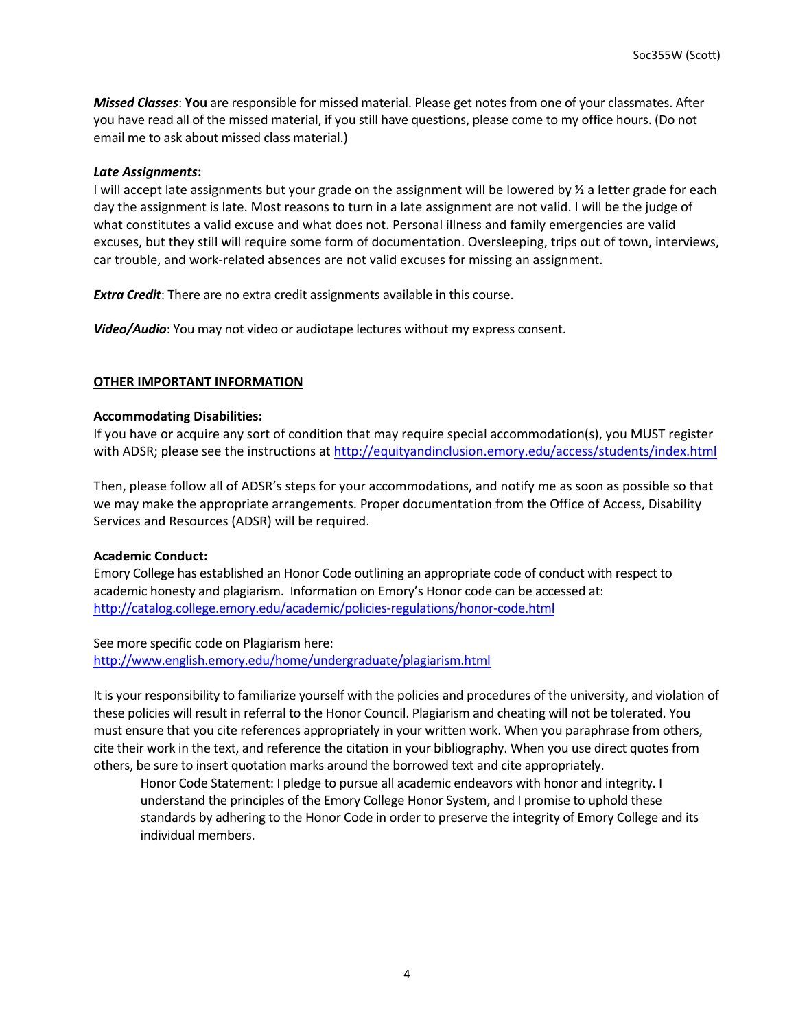*Missed Classes*: You are responsible for missed material. Please get notes from one of your classmates. After you have read all of the missed material, if you still have questions, please come to my office hours. (Do not email me to ask about missed class material.)

#### *Late Assignments***:**

I will accept late assignments but your grade on the assignment will be lowered by  $\frac{1}{2}$  a letter grade for each day the assignment is late. Most reasons to turn in a late assignment are not valid. I will be the judge of what constitutes a valid excuse and what does not. Personal illness and family emergencies are valid excuses, but they still will require some form of documentation. Oversleeping, trips out of town, interviews, car trouble, and work-related absences are not valid excuses for missing an assignment.

**Extra Credit:** There are no extra credit assignments available in this course.

**Video/Audio**: You may not video or audiotape lectures without my express consent.

# **OTHER IMPORTANT INFORMATION**

#### **Accommodating Disabilities:**

If you have or acquire any sort of condition that may require special accommodation(s), you MUST register with ADSR; please see the instructions at http://equityandinclusion.emory.edu/access/students/index.html

Then, please follow all of ADSR's steps for your accommodations, and notify me as soon as possible so that we may make the appropriate arrangements. Proper documentation from the Office of Access, Disability Services and Resources (ADSR) will be required.

#### **Academic Conduct:**

Emory College has established an Honor Code outlining an appropriate code of conduct with respect to academic honesty and plagiarism. Information on Emory's Honor code can be accessed at: http://catalog.college.emory.edu/academic/policies-regulations/honor-code.html

See more specific code on Plagiarism here: http://www.english.emory.edu/home/undergraduate/plagiarism.html

It is your responsibility to familiarize yourself with the policies and procedures of the university, and violation of these policies will result in referral to the Honor Council. Plagiarism and cheating will not be tolerated. You must ensure that you cite references appropriately in your written work. When you paraphrase from others, cite their work in the text, and reference the citation in your bibliography. When you use direct quotes from others, be sure to insert quotation marks around the borrowed text and cite appropriately.

Honor Code Statement: I pledge to pursue all academic endeavors with honor and integrity. I understand the principles of the Emory College Honor System, and I promise to uphold these standards by adhering to the Honor Code in order to preserve the integrity of Emory College and its individual members.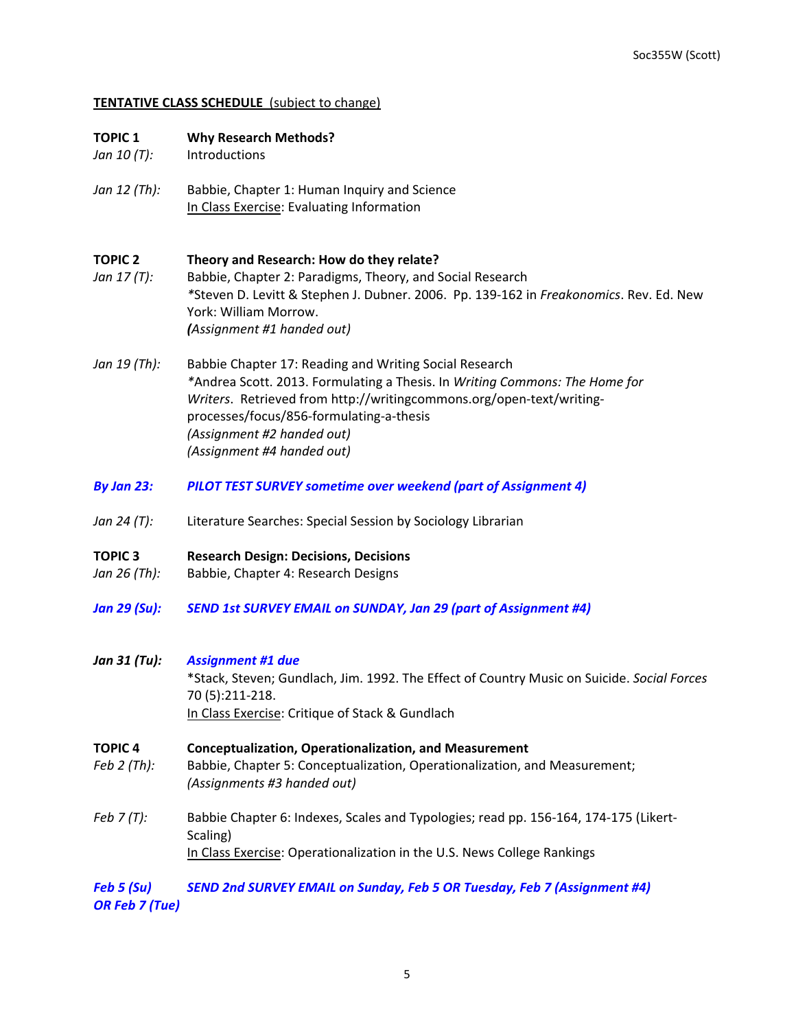# **TENTATIVE CLASS SCHEDULE** (subject to change)

| <b>TOPIC 1</b><br>Jan 10 (T): | <b>Why Research Methods?</b><br>Introductions                                                                                                                                                                                                                                                                         |
|-------------------------------|-----------------------------------------------------------------------------------------------------------------------------------------------------------------------------------------------------------------------------------------------------------------------------------------------------------------------|
| Jan 12 (Th):                  | Babbie, Chapter 1: Human Inquiry and Science<br>In Class Exercise: Evaluating Information                                                                                                                                                                                                                             |
| <b>TOPIC 2</b><br>Jan 17 (T): | Theory and Research: How do they relate?<br>Babbie, Chapter 2: Paradigms, Theory, and Social Research<br>*Steven D. Levitt & Stephen J. Dubner. 2006. Pp. 139-162 in Freakonomics. Rev. Ed. New<br>York: William Morrow.<br>(Assignment #1 handed out)                                                                |
| Jan 19 (Th):                  | Babbie Chapter 17: Reading and Writing Social Research<br>*Andrea Scott. 2013. Formulating a Thesis. In Writing Commons: The Home for<br>Writers. Retrieved from http://writingcommons.org/open-text/writing-<br>processes/focus/856-formulating-a-thesis<br>(Assignment #2 handed out)<br>(Assignment #4 handed out) |
| By Jan 23:                    | <b>PILOT TEST SURVEY sometime over weekend (part of Assignment 4)</b>                                                                                                                                                                                                                                                 |
| Jan 24 (T):                   | Literature Searches: Special Session by Sociology Librarian                                                                                                                                                                                                                                                           |
| <b>TOPIC3</b><br>Jan 26 (Th): | <b>Research Design: Decisions, Decisions</b><br>Babbie, Chapter 4: Research Designs                                                                                                                                                                                                                                   |
| <b>Jan 29 (Su):</b>           | <b>SEND 1st SURVEY EMAIL on SUNDAY, Jan 29 (part of Assignment #4)</b>                                                                                                                                                                                                                                                |
| Jan 31 (Tu):                  | <b>Assignment #1 due</b><br>*Stack, Steven; Gundlach, Jim. 1992. The Effect of Country Music on Suicide. Social Forces<br>70 (5):211-218.<br>In Class Exercise: Critique of Stack & Gundlach                                                                                                                          |
| <b>TOPIC4</b><br>Feb 2 (Th):  | <b>Conceptualization, Operationalization, and Measurement</b><br>Babbie, Chapter 5: Conceptualization, Operationalization, and Measurement;<br>(Assignments #3 handed out)                                                                                                                                            |
| Feb $7(T)$ :                  | Babbie Chapter 6: Indexes, Scales and Typologies; read pp. 156-164, 174-175 (Likert-<br>Scaling)<br>In Class Exercise: Operationalization in the U.S. News College Rankings                                                                                                                                           |
| Feb 5 (Su)                    | SEND 2nd SURVEY EMAIL on Sunday, Feb 5 OR Tuesday, Feb 7 (Assignment #4)                                                                                                                                                                                                                                              |

*OR Feb 7 (Tue)*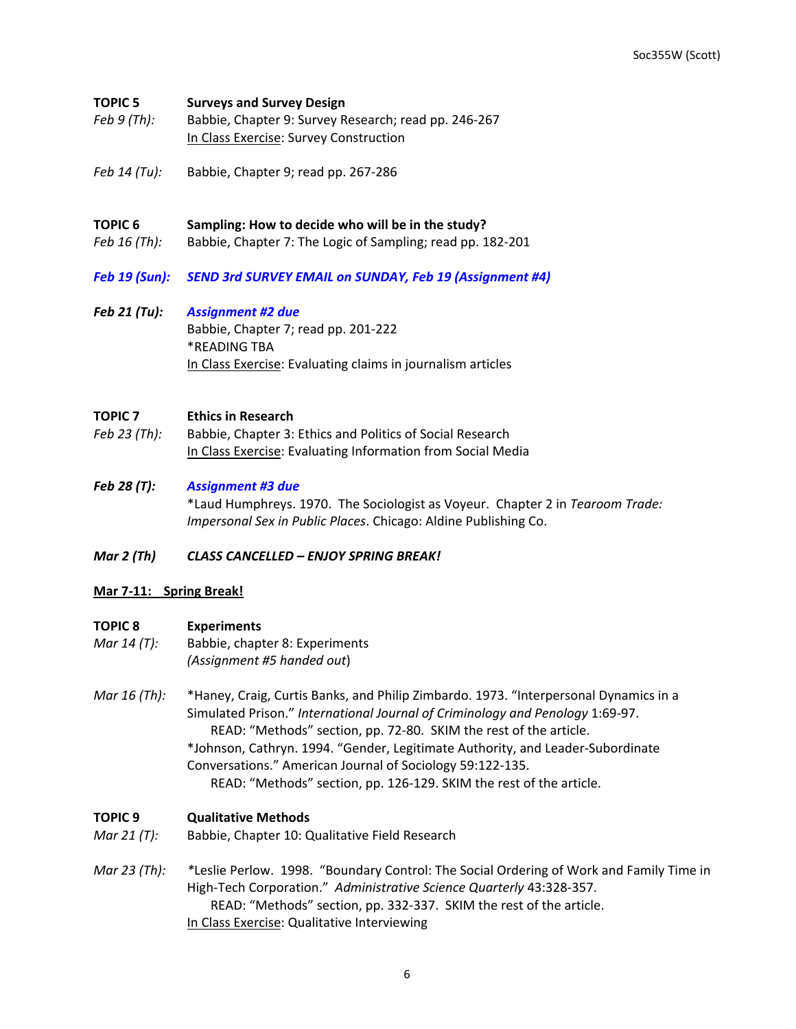#### **TOPIC 5 Surveys and Survey Design**

- *Feb 9 (Th):* Babbie, Chapter 9: Survey Research; read pp. 246-267 In Class Exercise: Survey Construction
- *Feb 14 (Tu):* Babbie, Chapter 9; read pp. 267-286

#### **TOPIC 6** Sampling: How to decide who will be in the study?

- *Feb* 16 (Th): Babbie, Chapter 7: The Logic of Sampling; read pp. 182-201
- Feb 19 (Sun): SEND 3rd SURVEY EMAIL on SUNDAY, Feb 19 (Assignment #4)
- *Feb 21 (Tu): Assignment #2 due* Babbie, Chapter 7; read pp. 201-222 \*READING TBA In Class Exercise: Evaluating claims in journalism articles

## **TOPIC 7 Ethics in Research**

- Feb 23 (Th): Babbie, Chapter 3: Ethics and Politics of Social Research In Class Exercise: Evaluating Information from Social Media
- *Feb 28 (T): Assignment #3 due* \*Laud Humphreys. 1970. The Sociologist as Voyeur. Chapter 2 in *Tearoom Trade: Impersonal Sex in Public Places*. Chicago: Aldine Publishing Co.

#### *Mar 2 (Th) CLASS CANCELLED – ENJOY SPRING BREAK!*

#### **Mar 7-11: Spring Break!**

#### **TOPIC 8 Experiments**

- *Mar 14 (T):* Babbie, chapter 8: Experiments *(Assignment #5 handed out*)
- *Mar* 16 (Th): \*Haney, Craig, Curtis Banks, and Philip Zimbardo. 1973. "Interpersonal Dynamics in a Simulated Prison." *International Journal of Criminology and Penology* 1:69-97. READ: "Methods" section, pp. 72-80. SKIM the rest of the article. \*Johnson, Cathryn. 1994. "Gender, Legitimate Authority, and Leader-Subordinate Conversations." American Journal of Sociology 59:122-135.

# READ: "Methods" section, pp. 126-129. SKIM the rest of the article.

#### **TOPIC 9 Qualitative Methods**

- *Mar 21 (T):* Babbie, Chapter 10: Qualitative Field Research
- *Mar 23 (Th):* \*Leslie Perlow. 1998. "Boundary Control: The Social Ordering of Work and Family Time in High-Tech Corporation." Administrative Science Quarterly 43:328-357. READ: "Methods" section, pp. 332-337. SKIM the rest of the article. In Class Exercise: Qualitative Interviewing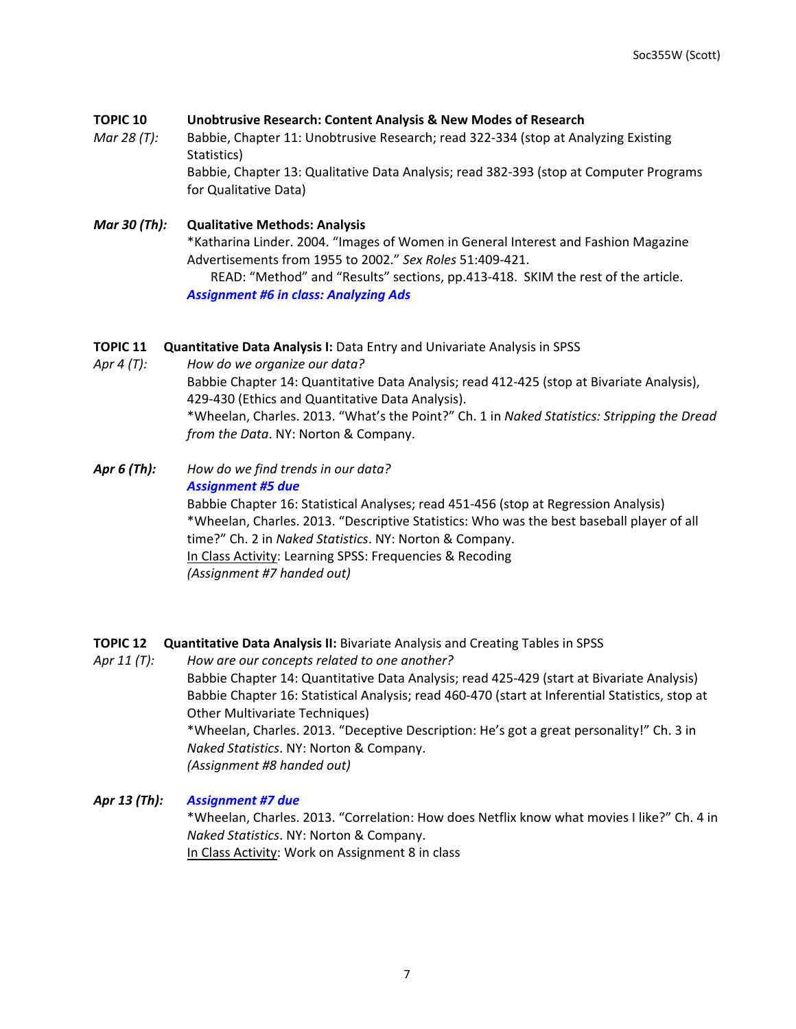## **TOPIC 10 Unobtrusive Research: Content Analysis & New Modes of Research**

*Mar* 28 (T): Babbie, Chapter 11: Unobtrusive Research; read 322-334 (stop at Analyzing Existing Statistics) Babbie, Chapter 13: Qualitative Data Analysis; read 382-393 (stop at Computer Programs for Qualitative Data)

# *Mar 30 (Th):* Qualitative Methods: Analysis \*Katharina Linder. 2004. "Images of Women in General Interest and Fashion Magazine Advertisements from 1955 to 2002." *Sex Roles* 51:409-421. READ: "Method" and "Results" sections, pp.413-418. SKIM the rest of the article. *Assignment #6 in class: Analyzing Ads*

## **TOPIC 11 Quantitative Data Analysis I:** Data Entry and Univariate Analysis in SPSS

Apr 4 (T): How do we organize our data? Babbie Chapter 14: Quantitative Data Analysis; read 412-425 (stop at Bivariate Analysis), 429-430 (Ethics and Quantitative Data Analysis). \*Wheelan, Charles. 2013. "What's the Point?" Ch. 1 in Naked Statistics: Stripping the Dread *from the Data*. NY: Norton & Company.

**Apr 6 (Th):** How do we find trends in our data? *Assignment #5 due* Babbie Chapter 16: Statistical Analyses; read 451-456 (stop at Regression Analysis) \*Wheelan, Charles. 2013. "Descriptive Statistics: Who was the best baseball player of all time?" Ch. 2 in *Naked Statistics*. NY: Norton & Company. In Class Activity: Learning SPSS: Frequencies & Recoding *(Assignment #7 handed out)*

# **TOPIC 12 Quantitative Data Analysis II:** Bivariate Analysis and Creating Tables in SPSS

Apr 11 (T): How are our concepts related to one another? Babbie Chapter 14: Quantitative Data Analysis; read 425-429 (start at Bivariate Analysis) Babbie Chapter 16: Statistical Analysis; read 460-470 (start at Inferential Statistics, stop at Other Multivariate Techniques) \*Wheelan, Charles. 2013. "Deceptive Description: He's got a great personality!" Ch. 3 in *Naked Statistics*. NY: Norton & Company. *(Assignment #8 handed out)*

#### *Apr 13 (Th): Assignment #7 due*

\*Wheelan, Charles. 2013. "Correlation: How does Netflix know what movies I like?" Ch. 4 in *Naked Statistics*. NY: Norton & Company. In Class Activity: Work on Assignment 8 in class